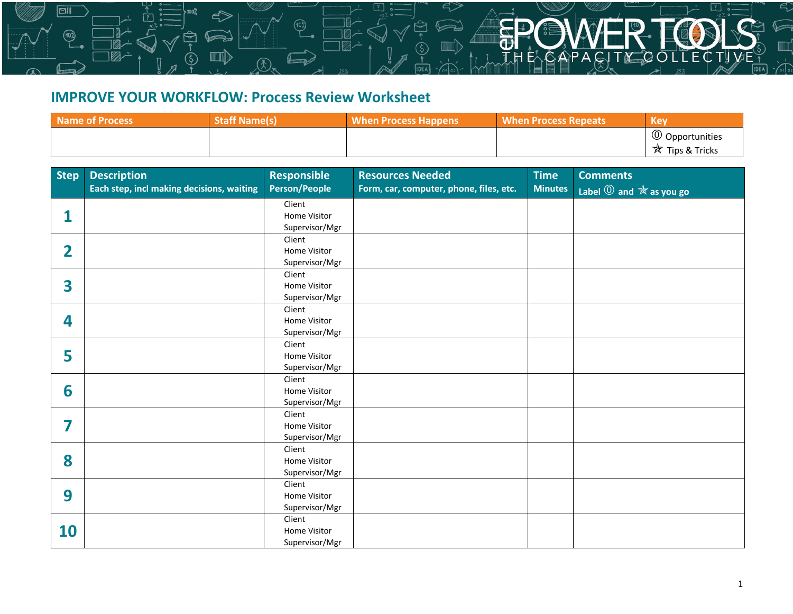## **IMPROVE YOUR WORKFLOW: Process Review Worksheet**

<u>mma V</u>

⊠⊪

103)

| <b>Name of Process</b> | <b>Staff Name(s)</b> | <b>When Process Happens</b> | <b>When Process Repeats</b> | <b>Key</b>                                           |
|------------------------|----------------------|-----------------------------|-----------------------------|------------------------------------------------------|
|                        |                      |                             |                             | <sup>1</sup> Opportunities<br><b>*</b> Tips & Tricks |

**Process Improvement**

| <b>Step</b>    | <b>Description</b>                        | <b>Responsible</b>             | <b>Resources Needed</b>                 | <b>Time</b>    | <b>Comments</b>                                            |
|----------------|-------------------------------------------|--------------------------------|-----------------------------------------|----------------|------------------------------------------------------------|
|                | Each step, incl making decisions, waiting | <b>Person/People</b>           | Form, car, computer, phone, files, etc. | <b>Minutes</b> | Label $\overline{0}$ and $\overline{\mathbb{X}}$ as you go |
| 1              |                                           | Client<br>Home Visitor         |                                         |                |                                                            |
|                |                                           | Supervisor/Mgr                 |                                         |                |                                                            |
|                |                                           | Client                         |                                         |                |                                                            |
| $\overline{2}$ |                                           | Home Visitor<br>Supervisor/Mgr |                                         |                |                                                            |
|                |                                           | Client                         |                                         |                |                                                            |
| 3              |                                           | <b>Home Visitor</b>            |                                         |                |                                                            |
|                |                                           | Supervisor/Mgr                 |                                         |                |                                                            |
|                |                                           | Client                         |                                         |                |                                                            |
| 4              |                                           | Home Visitor<br>Supervisor/Mgr |                                         |                |                                                            |
|                |                                           | Client                         |                                         |                |                                                            |
| 5              |                                           | Home Visitor                   |                                         |                |                                                            |
|                |                                           | Supervisor/Mgr                 |                                         |                |                                                            |
|                |                                           | Client                         |                                         |                |                                                            |
| 6              |                                           | Home Visitor                   |                                         |                |                                                            |
|                |                                           | Supervisor/Mgr                 |                                         |                |                                                            |
|                |                                           | Client                         |                                         |                |                                                            |
| 7              |                                           | Home Visitor                   |                                         |                |                                                            |
|                |                                           | Supervisor/Mgr                 |                                         |                |                                                            |
|                |                                           | Client                         |                                         |                |                                                            |
| 8              |                                           | Home Visitor                   |                                         |                |                                                            |
|                |                                           | Supervisor/Mgr                 |                                         |                |                                                            |
| 9              |                                           | Client<br>Home Visitor         |                                         |                |                                                            |
|                |                                           | Supervisor/Mgr                 |                                         |                |                                                            |
|                |                                           | Client                         |                                         |                |                                                            |
| 10             |                                           | Home Visitor                   |                                         |                |                                                            |
|                |                                           | Supervisor/Mgr                 |                                         |                |                                                            |

 $CT$ 

ㄱ